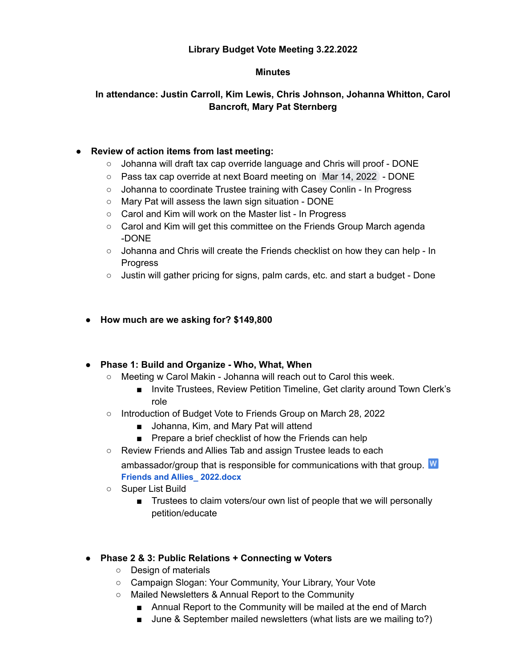## **Library Budget Vote Meeting 3.22.2022**

#### **Minutes**

# **In attendance: Justin Carroll, Kim Lewis, Chris Johnson, Johanna Whitton, Carol Bancroft, Mary Pat Sternberg**

## **● Review of action items from last meeting:**

- Johanna will draft tax cap override language and Chris will proof DONE
- Pass tax cap override at next Board meeting on Mar 14, 2022 DONE
- Johanna to coordinate Trustee training with Casey Conlin In Progress
- Mary Pat will assess the lawn sign situation DONE
- Carol and Kim will work on the Master list In Progress
- Carol and Kim will get this committee on the Friends Group March agenda -DONE
- $\circ$  Johanna and Chris will create the Friends checklist on how they can help In Progress
- Justin will gather pricing for signs, palm cards, etc. and start a budget Done
- **● How much are we asking for? \$149,800**

### **● Phase 1: Build and Organize - Who, What, When**

- **○** Meeting w Carol Makin Johanna will reach out to Carol this week.
	- Invite Trustees, Review Petition Timeline, Get clarity around Town Clerk's role
- o Introduction of Budget Vote to Friends Group on March 28, 2022
	- Johanna, Kim, and Mary Pat will attend
	- Prepare a brief checklist of how the Friends can help
- Review Friends and Allies Tab and assign Trustee leads to each

ambassador/group that is responsible for communications with that group. W **Friends and Allies\_ [2022.docx](https://drive.google.com/file/d/1cGoON11ArCUliwX9elD8Qgs_9MOsoAzN/view?usp=drive_web)**

- Super List Build
	- Trustees to claim voters/our own list of people that we will personally petition/educate

# **● Phase 2 & 3: Public Relations + Connecting w Voters**

- Design of materials
- Campaign Slogan: Your Community, Your Library, Your Vote
- Mailed Newsletters & Annual Report to the Community
	- Annual Report to the Community will be mailed at the end of March
	- June & September mailed newsletters (what lists are we mailing to?)